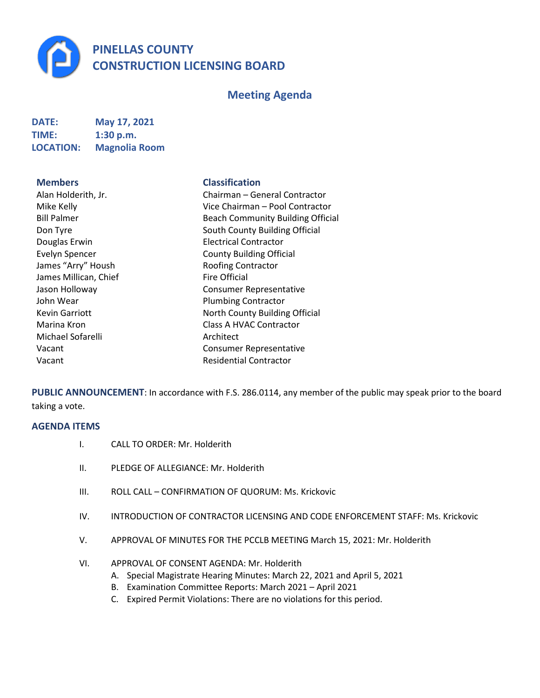**PINELLAS COUNTY CONSTRUCTION LICENSING BOARD**

# **Meeting Agenda**

| <b>DATE:</b>     | May 17, 2021         |
|------------------|----------------------|
| <b>TIME:</b>     | 1:30 p.m.            |
| <b>LOCATION:</b> | <b>Magnolia Room</b> |

**Members Classification**

| Alan Holderith, Jr.   | Chairman - General Co           |
|-----------------------|---------------------------------|
| Mike Kelly            | Vice Chairman - Pool C          |
| <b>Bill Palmer</b>    | <b>Beach Community Build</b>    |
| Don Tyre              | South County Building (         |
| Douglas Erwin         | <b>Electrical Contractor</b>    |
| <b>Evelyn Spencer</b> | <b>County Building Official</b> |
| James "Arry" Housh    | <b>Roofing Contractor</b>       |
| James Millican, Chief | <b>Fire Official</b>            |
| Jason Holloway        | <b>Consumer Representati</b>    |
| John Wear             | <b>Plumbing Contractor</b>      |
| <b>Kevin Garriott</b> | North County Building (         |
| Marina Kron           | Class A HVAC Contracto          |
| Michael Sofarelli     | Architect                       |
| Vacant                | <b>Consumer Representati</b>    |
| Vacant                | <b>Residential Contractor</b>   |
|                       |                                 |

| Alan Holderith, Jr.   | Chairman - General Contractor            |
|-----------------------|------------------------------------------|
| Mike Kelly            | Vice Chairman – Pool Contractor          |
| <b>Bill Palmer</b>    | <b>Beach Community Building Official</b> |
| Don Tyre              | South County Building Official           |
| Douglas Erwin         | <b>Electrical Contractor</b>             |
| <b>Evelyn Spencer</b> | <b>County Building Official</b>          |
| James "Arry" Housh    | <b>Roofing Contractor</b>                |
| James Millican, Chief | <b>Fire Official</b>                     |
| Jason Holloway        | <b>Consumer Representative</b>           |
| John Wear             | <b>Plumbing Contractor</b>               |
| <b>Kevin Garriott</b> | North County Building Official           |
| Marina Kron           | Class A HVAC Contractor                  |
| Michael Sofarelli     | Architect                                |
| Vacant                | <b>Consumer Representative</b>           |
| Vacant                | <b>Residential Contractor</b>            |
|                       |                                          |

**PUBLIC ANNOUNCEMENT**: In accordance with F.S. 286.0114, any member of the public may speak prior to the board taking a vote.

## **AGENDA ITEMS**

- I. CALL TO ORDER: Mr. Holderith
- II. PLEDGE OF ALLEGIANCE: Mr. Holderith
- III. ROLL CALL CONFIRMATION OF QUORUM: Ms. Krickovic
- IV. INTRODUCTION OF CONTRACTOR LICENSING AND CODE ENFORCEMENT STAFF: Ms. Krickovic
- V. APPROVAL OF MINUTES FOR THE PCCLB MEETING March 15, 2021: Mr. Holderith
- VI. APPROVAL OF CONSENT AGENDA: Mr. Holderith
	- A. Special Magistrate Hearing Minutes: March 22, 2021 and April 5, 2021
	- B. Examination Committee Reports: March 2021 April 2021
	- C. Expired Permit Violations: There are no violations for this period.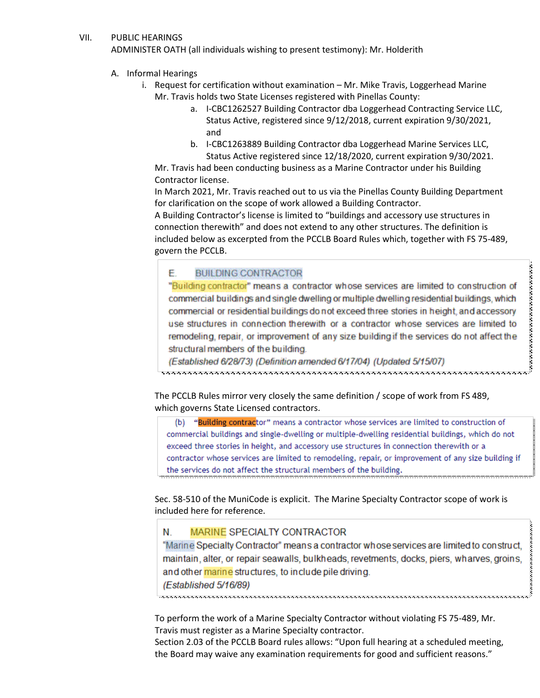### VII. PUBLIC HEARINGS

ADMINISTER OATH (all individuals wishing to present testimony): Mr. Holderith

- A. Informal Hearings
	- i. Request for certification without examination Mr. Mike Travis, Loggerhead Marine Mr. Travis holds two State Licenses registered with Pinellas County:
		- a. I-CBC1262527 Building Contractor dba Loggerhead Contracting Service LLC, Status Active, registered since 9/12/2018, current expiration 9/30/2021, and
		- b. I-CBC1263889 Building Contractor dba Loggerhead Marine Services LLC, Status Active registered since 12/18/2020, current expiration 9/30/2021.

Mr. Travis had been conducting business as a Marine Contractor under his Building Contractor license.

In March 2021, Mr. Travis reached out to us via the Pinellas County Building Department for clarification on the scope of work allowed a Building Contractor.

A Building Contractor's license is limited to "buildings and accessory use structures in connection therewith" and does not extend to any other structures. The definition is included below as excerpted from the PCCLB Board Rules which, together with FS 75-489, govern the PCCLB.

#### €. **BUILDING CONTRACTOR**

E. BUILDING CONTRACTOR<br>
"Building contractor" means a contractor whose services are limited to construction of<br>
commercial buildings and single dwelling or multiple dwelling residential buildings, which<br>
commercial or resi "Building contractor" means a contractor whose services are limited to construction of commercial buildings and single dwelling or multiple dwelling residential buildings, which commercial or residential buildings do not exceed three stories in height, and accessory use structures in connection therewith or a contractor whose services are limited to remodeling, repair, or improvement of any size building if the services do not affect the structural members of the building.

(Established 6/28/73) (Definition amended 6/17/04) (Updated 5/15/07)

which governs State Licensed contractors.

(b) "Building contractor" means a contractor whose services are limited to construction of commercial buildings and single-dwelling or multiple-dwelling residential buildings, which do not exceed three stories in height, and accessory use structures in connection therewith or a contractor whose services are limited to remodeling, repair, or improvement of any size building if the services do not affect the structural members of the building.

Sec. 58-510 of the MuniCode is explicit. The Marine Specialty Contractor scope of work is included here for reference.

#### N **MARINE SPECIALTY CONTRACTOR**

\*\*\*\*\*\*\*\*\*\*\*\*\*\*\*\*\*\*\*\*\*\*

"Marine Specialty Contractor" means a contractor whose services are limited to construct, maintain, alter, or repair seawalls, bulkheads, revetments, docks, piers, wharves, groins, and other marine structures, to include pile driving. (Established 5/16/89)

To perform the work of a Marine Specialty Contractor without violating FS 75-489, Mr. Travis must register as a Marine Specialty contractor.

Section 2.03 of the PCCLB Board rules allows: "Upon full hearing at a scheduled meeting, the Board may waive any examination requirements for good and sufficient reasons."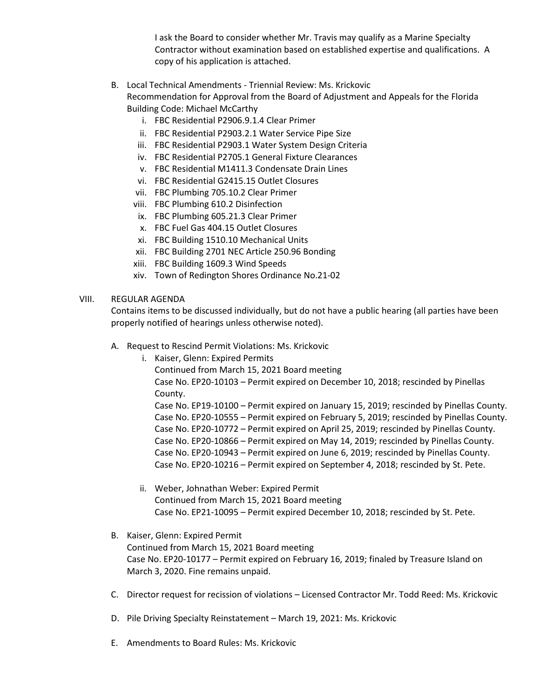I ask the Board to consider whether Mr. Travis may qualify as a Marine Specialty Contractor without examination based on established expertise and qualifications. A copy of his application is attached.

- B. Local Technical Amendments Triennial Review: Ms. Krickovic Recommendation for Approval from the Board of Adjustment and Appeals for the Florida Building Code: Michael McCarthy
	- i. FBC Residential P2906.9.1.4 Clear Primer
	- ii. FBC Residential P2903.2.1 Water Service Pipe Size
	- iii. FBC Residential P2903.1 Water System Design Criteria
	- iv. FBC Residential P2705.1 General Fixture Clearances
	- v. FBC Residential M1411.3 Condensate Drain Lines
	- vi. FBC Residential G2415.15 Outlet Closures
	- vii. FBC Plumbing 705.10.2 Clear Primer
	- viii. FBC Plumbing 610.2 Disinfection
	- ix. FBC Plumbing 605.21.3 Clear Primer
	- x. FBC Fuel Gas 404.15 Outlet Closures
	- xi. FBC Building 1510.10 Mechanical Units
	- xii. FBC Building 2701 NEC Article 250.96 Bonding
	- xiii. FBC Building 1609.3 Wind Speeds
	- xiv. Town of Redington Shores Ordinance No.21-02

## VIII. REGULAR AGENDA

Contains items to be discussed individually, but do not have a public hearing (all parties have been properly notified of hearings unless otherwise noted).

A. Request to Rescind Permit Violations: Ms. Krickovic

i. Kaiser, Glenn: Expired Permits Continued from March 15, 2021 Board meeting Case No. EP20-10103 – Permit expired on December 10, 2018; rescinded by Pinellas County. Case No. EP19-10100 – Permit expired on January 15, 2019; rescinded by Pinellas County. Case No. EP20-10555 – Permit expired on February 5, 2019; rescinded by Pinellas County. Case No. EP20-10772 – Permit expired on April 25, 2019; rescinded by Pinellas County. Case No. EP20-10866 – Permit expired on May 14, 2019; rescinded by Pinellas County. Case No. EP20-10943 – Permit expired on June 6, 2019; rescinded by Pinellas County. Case No. EP20-10216 – Permit expired on September 4, 2018; rescinded by St. Pete.

- ii. Weber, Johnathan Weber: Expired Permit Continued from March 15, 2021 Board meeting Case No. EP21-10095 – Permit expired December 10, 2018; rescinded by St. Pete.
- B. Kaiser, Glenn: Expired Permit Continued from March 15, 2021 Board meeting Case No. EP20-10177 – Permit expired on February 16, 2019; finaled by Treasure Island on March 3, 2020. Fine remains unpaid.
- C. Director request for recission of violations Licensed Contractor Mr. Todd Reed: Ms. Krickovic
- D. Pile Driving Specialty Reinstatement March 19, 2021: Ms. Krickovic
- E. Amendments to Board Rules: Ms. Krickovic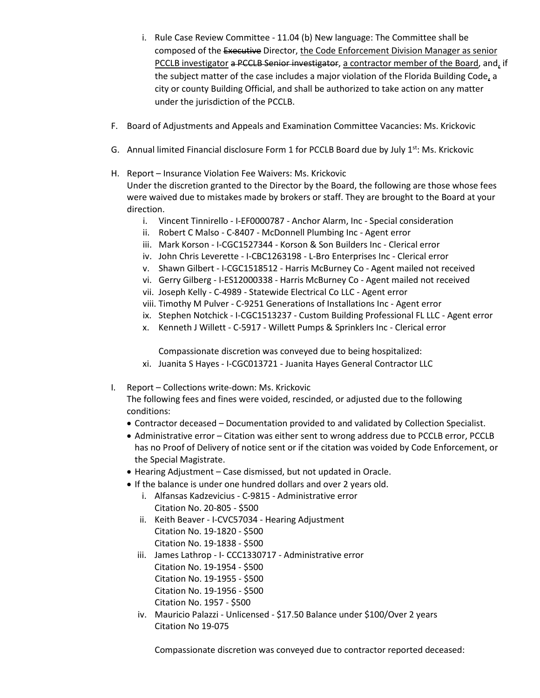- i. Rule Case Review Committee 11.04 (b) New language: The Committee shall be composed of the Executive Director, the Code Enforcement Division Manager as senior PCCLB investigator a PCCLB Senior investigator, a contractor member of the Board, and, if the subject matter of the case includes a major violation of the Florida Building Code, a city or county Building Official, and shall be authorized to take action on any matter under the jurisdiction of the PCCLB.
- F. Board of Adjustments and Appeals and Examination Committee Vacancies: Ms. Krickovic
- G. Annual limited Financial disclosure Form 1 for PCCLB Board due by July 1<sup>st</sup>: Ms. Krickovic
- H. Report Insurance Violation Fee Waivers: Ms. Krickovic Under the discretion granted to the Director by the Board, the following are those whose fees were waived due to mistakes made by brokers or staff. They are brought to the Board at your direction.
	- i. Vincent Tinnirello I-EF0000787 Anchor Alarm, Inc Special consideration
	- ii. Robert C Malso C-8407 McDonnell Plumbing Inc Agent error
	- iii. Mark Korson I-CGC1527344 Korson & Son Builders Inc Clerical error
	- iv. John Chris Leverette I-CBC1263198 L-Bro Enterprises Inc Clerical error
	- v. Shawn Gilbert I-CGC1518512 Harris McBurney Co Agent mailed not received
	- vi. Gerry Gilberg I-ES12000338 Harris McBurney Co Agent mailed not received
	- vii. Joseph Kelly C-4989 Statewide Electrical Co LLC Agent error
	- viii. Timothy M Pulver C-9251 Generations of Installations Inc Agent error
	- ix. Stephen Notchick I-CGC1513237 Custom Building Professional FL LLC Agent error
	- x. Kenneth J Willett C-5917 Willett Pumps & Sprinklers Inc Clerical error

Compassionate discretion was conveyed due to being hospitalized:

- xi. Juanita S Hayes I-CGC013721 Juanita Hayes General Contractor LLC
- I. Report Collections write-down: Ms. Krickovic

The following fees and fines were voided, rescinded, or adjusted due to the following conditions:

- Contractor deceased Documentation provided to and validated by Collection Specialist.
- Administrative error Citation was either sent to wrong address due to PCCLB error, PCCLB has no Proof of Delivery of notice sent or if the citation was voided by Code Enforcement, or the Special Magistrate.
- Hearing Adjustment Case dismissed, but not updated in Oracle.
- If the balance is under one hundred dollars and over 2 years old.
	- i. Alfansas Kadzevicius C-9815 Administrative error Citation No. 20-805 - \$500
	- ii. Keith Beaver I-CVC57034 Hearing Adjustment Citation No. 19-1820 - \$500 Citation No. 19-1838 - \$500
	- iii. James Lathrop I- CCC1330717 Administrative error Citation No. 19-1954 - \$500 Citation No. 19-1955 - \$500 Citation No. 19-1956 - \$500 Citation No. 1957 - \$500
	- iv. Mauricio Palazzi Unlicensed \$17.50 Balance under \$100/Over 2 years Citation No 19-075

Compassionate discretion was conveyed due to contractor reported deceased: